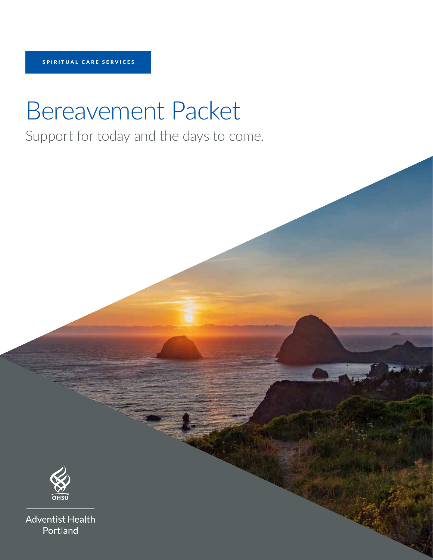# Bereavement Packet

Support for today and the days to come.



**Adventist Health** Portland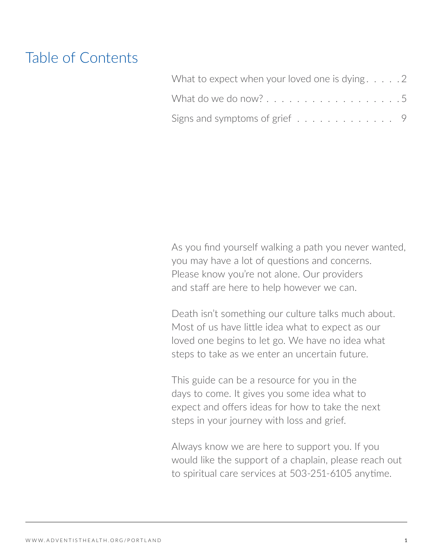# Table of Contents

| What to expect when your loved one is dying $\ldots$        |  |
|-------------------------------------------------------------|--|
| What do we do now?5                                         |  |
| Signs and symptoms of grief $\ldots \ldots \ldots \ldots$ . |  |

As you find yourself walking a path you never wanted, you may have a lot of questions and concerns. Please know you're not alone. Our providers and staff are here to help however we can.

Death isn't something our culture talks much about. Most of us have little idea what to expect as our loved one begins to let go. We have no idea what steps to take as we enter an uncertain future.

This guide can be a resource for you in the days to come. It gives you some idea what to expect and offers ideas for how to take the next steps in your journey with loss and grief.

Always know we are here to support you. If you would like the support of a chaplain, please reach out to spiritual care services at 503-251-6105 anytime.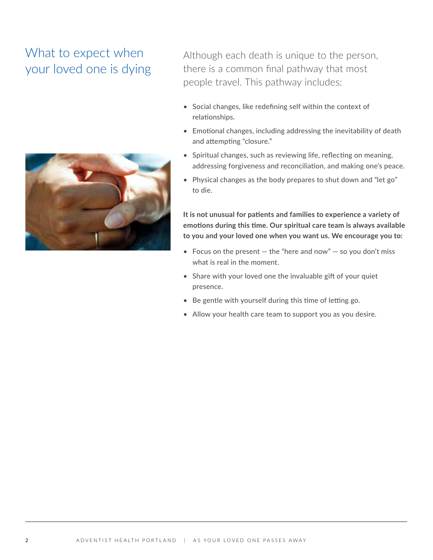# What to expect when your loved one is dying



Although each death is unique to the person, there is a common final pathway that most people travel. This pathway includes:

- Social changes, like redefining self within the context of relationships.
- Emotional changes, including addressing the inevitability of death and attempting "closure."
- Spiritual changes, such as reviewing life, reflecting on meaning, addressing forgiveness and reconciliation, and making one's peace.
- Physical changes as the body prepares to shut down and "let go" to die.

**It is not unusual for patients and families to experience a variety of emotions during this time. Our spiritual care team is always available to you and your loved one when you want us. We encourage you to:**

- Focus on the present  $-$  the "here and now"  $-$  so you don't miss what is real in the moment.
- Share with your loved one the invaluable gift of your quiet presence.
- Be gentle with yourself during this time of letting go.
- Allow your health care team to support you as you desire.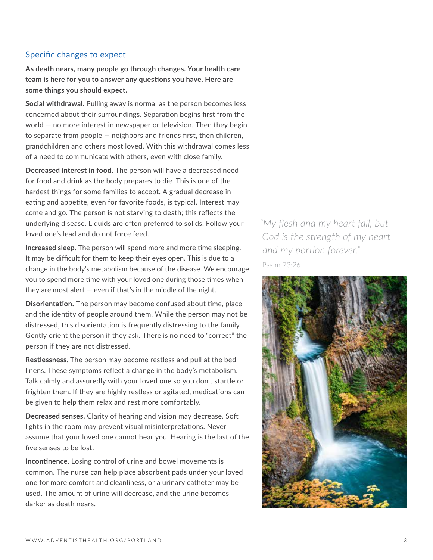#### Specific changes to expect

**As death nears, many people go through changes. Your health care team is here for you to answer any questions you have. Here are some things you should expect.** 

**Social withdrawal.** Pulling away is normal as the person becomes less concerned about their surroundings. Separation begins first from the world — no more interest in newspaper or television. Then they begin to separate from people — neighbors and friends first, then children, grandchildren and others most loved. With this withdrawal comes less of a need to communicate with others, even with close family.

**Decreased interest in food.** The person will have a decreased need for food and drink as the body prepares to die. This is one of the hardest things for some families to accept. A gradual decrease in eating and appetite, even for favorite foods, is typical. Interest may come and go. The person is not starving to death; this reflects the underlying disease. Liquids are often preferred to solids. Follow your loved one's lead and do not force feed.

**Increased sleep.** The person will spend more and more time sleeping. It may be difficult for them to keep their eyes open. This is due to a change in the body's metabolism because of the disease. We encourage you to spend more time with your loved one during those times when they are most alert  $-$  even if that's in the middle of the night.

**Disorientation.** The person may become confused about time, place and the identity of people around them. While the person may not be distressed, this disorientation is frequently distressing to the family. Gently orient the person if they ask. There is no need to "correct" the person if they are not distressed.

**Restlessness.** The person may become restless and pull at the bed linens. These symptoms reflect a change in the body's metabolism. Talk calmly and assuredly with your loved one so you don't startle or frighten them. If they are highly restless or agitated, medications can be given to help them relax and rest more comfortably.

**Decreased senses.** Clarity of hearing and vision may decrease. Soft lights in the room may prevent visual misinterpretations. Never assume that your loved one cannot hear you. Hearing is the last of the five senses to be lost.

**Incontinence.** Losing control of urine and bowel movements is common. The nurse can help place absorbent pads under your loved one for more comfort and cleanliness, or a urinary catheter may be used. The amount of urine will decrease, and the urine becomes darker as death nears.

*"My flesh and my heart fail, but God is the strength of my heart and my portion forever."* Psalm 73:26

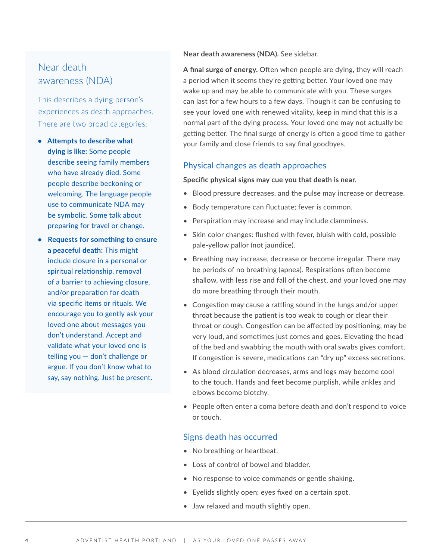#### Near death awareness (NDA)

This describes a dying person's experiences as death approaches. There are two broad categories:

- **• Attempts to describe what dying is like:** Some people describe seeing family members who have already died. Some people describe beckoning or welcoming. The language people use to communicate NDA may be symbolic. Some talk about preparing for travel or change.
- **• Requests for something to ensure a peaceful death:** This might include closure in a personal or spiritual relationship, removal of a barrier to achieving closure, and/or preparation for death via specific items or rituals. We encourage you to gently ask your loved one about messages you don't understand. Accept and validate what your loved one is telling you — don't challenge or argue. If you don't know what to say, say nothing. Just be present.

**Near death awareness (NDA).** See sidebar.

**A final surge of energy.** Often when people are dying, they will reach a period when it seems they're getting better. Your loved one may wake up and may be able to communicate with you. These surges can last for a few hours to a few days. Though it can be confusing to see your loved one with renewed vitality, keep in mind that this is a normal part of the dying process. Your loved one may not actually be getting better. The final surge of energy is often a good time to gather your family and close friends to say final goodbyes.

#### Physical changes as death approaches

#### **Specific physical signs may cue you that death is near.**

- Blood pressure decreases, and the pulse may increase or decrease.
- Body temperature can fluctuate; fever is common.
- Perspiration may increase and may include clamminess.
- Skin color changes: flushed with fever, bluish with cold, possible pale-yellow pallor (not jaundice).
- Breathing may increase, decrease or become irregular. There may be periods of no breathing (apnea). Respirations often become shallow, with less rise and fall of the chest, and your loved one may do more breathing through their mouth.
- Congestion may cause a rattling sound in the lungs and/or upper throat because the patient is too weak to cough or clear their throat or cough. Congestion can be affected by positioning, may be very loud, and sometimes just comes and goes. Elevating the head of the bed and swabbing the mouth with oral swabs gives comfort. If congestion is severe, medications can "dry up" excess secretions.
- As blood circulation decreases, arms and legs may become cool to the touch. Hands and feet become purplish, while ankles and elbows become blotchy.
- People often enter a coma before death and don't respond to voice or touch.

#### Signs death has occurred

- No breathing or heartbeat.
- Loss of control of bowel and bladder.
- No response to voice commands or gentle shaking.
- Eyelids slightly open; eyes fixed on a certain spot.
- Jaw relaxed and mouth slightly open.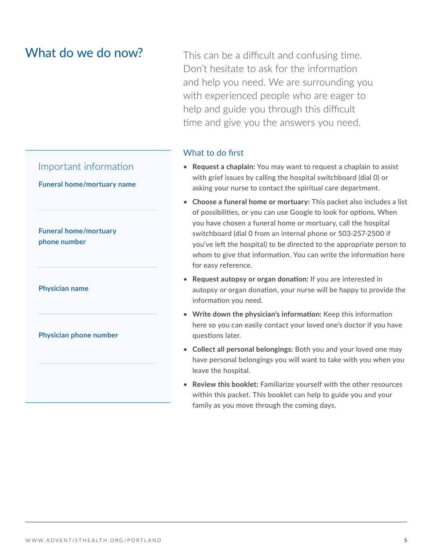#### Important information



**Funeral home/mortuary phone number**

**Physician name**

**Physician phone number**

What do we do now? This can be a difficult and confusing time. Don't hesitate to ask for the information and help you need. We are surrounding you with experienced people who are eager to help and guide you through this difficult time and give you the answers you need.

#### What to do first

- **Request a chaplain:** You may want to request a chaplain to assist with grief issues by calling the hospital switchboard (dial 0) or asking your nurse to contact the spiritual care department.
- **Choose a funeral home or mortuary:** This packet also includes a list of possibilities, or you can use Google to look for options. When you have chosen a funeral home or mortuary, call the hospital switchboard (dial 0 from an internal phone or 503-257-2500 if you've left the hospital) to be directed to the appropriate person to whom to give that information. You can write the information here for easy reference.
- **Request autopsy or organ donation:** If you are interested in autopsy or organ donation, your nurse will be happy to provide the information you need.
- **Write down the physician's information:** Keep this information here so you can easily contact your loved one's doctor if you have questions later.
- **Collect all personal belongings:** Both you and your loved one may have personal belongings you will want to take with you when you leave the hospital.
- **Review this booklet:** Familiarize yourself with the other resources within this packet. This booklet can help to guide you and your family as you move through the coming days.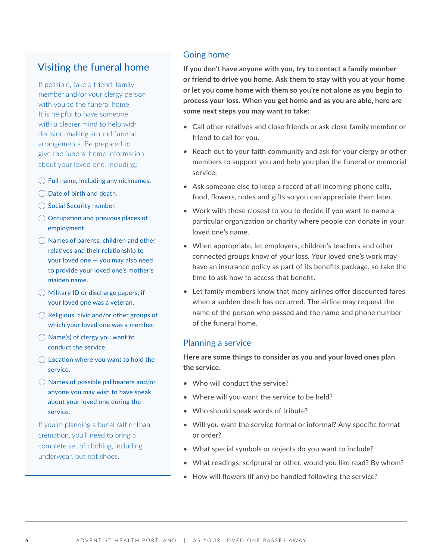#### Visiting the funeral home

If possible, take a friend, family member and/or your clergy person with you to the funeral home. It is helpful to have someone with a clearer mind to help with decision-making around funeral arrangements. Be prepared to give the funeral home information about your loved one, including:

- $\bigcirc$  Full name, including any nicknames.
- $\bigcirc$  Date of birth and death.
- $\bigcap$  Social Security number.
- $\bigcirc$  Occupation and previous places of employment.
- $\bigcirc$  Names of parents, children and other relatives and their relationship to your loved one — you may also need to provide your loved one's mother's maiden name.
- $\bigcirc$  Military ID or discharge papers, if your loved one was a veteran.
- $\bigcirc$  Religious, civic and/or other groups of which your loved one was a member.
- $\bigcirc$  Name(s) of clergy you want to conduct the service.
- $\circ$  Location where you want to hold the service.
- $\bigcirc$  Names of possible pallbearers and/or anyone you may wish to have speak about your loved one during the service.

If you're planning a burial rather than cremation, you'll need to bring a complete set of clothing, including underwear, but not shoes.

#### Going home

**If you don't have anyone with you, try to contact a family member or friend to drive you home. Ask them to stay with you at your home or let you come home with them so you're not alone as you begin to process your loss. When you get home and as you are able, here are some next steps you may want to take:**

- Call other relatives and close friends or ask close family member or friend to call for you.
- Reach out to your faith community and ask for your clergy or other members to support you and help you plan the funeral or memorial service.
- Ask someone else to keep a record of all incoming phone calls, food, flowers, notes and gifts so you can appreciate them later.
- Work with those closest to you to decide if you want to name a particular organization or charity where people can donate in your loved one's name.
- When appropriate, let employers, children's teachers and other connected groups know of your loss. Your loved one's work may have an insurance policy as part of its benefits package, so take the time to ask how to access that benefit.
- Let family members know that many airlines offer discounted fares when a sudden death has occurred. The airline may request the name of the person who passed and the name and phone number of the funeral home.

#### Planning a service

**Here are some things to consider as you and your loved ones plan the service.**

- Who will conduct the service?
- Where will you want the service to be held?
- Who should speak words of tribute?
- Will you want the service formal or informal? Any specific format or order?
- What special symbols or objects do you want to include?
- What readings, scriptural or other, would you like read? By whom?
- How will flowers (if any) be handled following the service?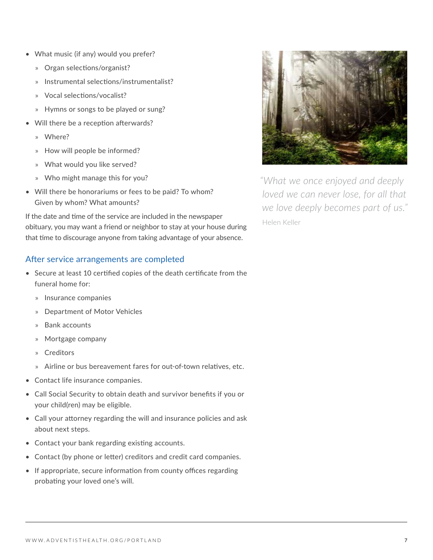- What music (if any) would you prefer?
	- » Organ selections/organist?
	- » Instrumental selections/instrumentalist?
	- » Vocal selections/vocalist?
	- » Hymns or songs to be played or sung?
- Will there be a reception afterwards?
	- » Where?
	- » How will people be informed?
	- » What would you like served?
	- » Who might manage this for you?
- Will there be honorariums or fees to be paid? To whom? Given by whom? What amounts?

If the date and time of the service are included in the newspaper obituary, you may want a friend or neighbor to stay at your house during that time to discourage anyone from taking advantage of your absence.

#### After service arrangements are completed

- Secure at least 10 certified copies of the death certificate from the funeral home for:
	- » Insurance companies
	- » Department of Motor Vehicles
	- » Bank accounts
	- » Mortgage company
	- » Creditors
	- » Airline or bus bereavement fares for out-of-town relatives, etc.
- Contact life insurance companies.
- Call Social Security to obtain death and survivor benefits if you or your child(ren) may be eligible.
- Call your attorney regarding the will and insurance policies and ask about next steps.
- Contact your bank regarding existing accounts.
- Contact (by phone or letter) creditors and credit card companies.
- If appropriate, secure information from county offices regarding probating your loved one's will.



*"What we once enjoyed and deeply loved we can never lose, for all that we love deeply becomes part of us."* Helen Keller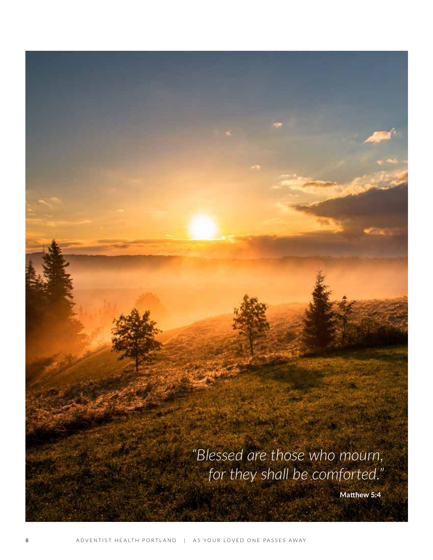*"Blessed are those who mourn, for they shall be comforted."*

**Matthew 5:4**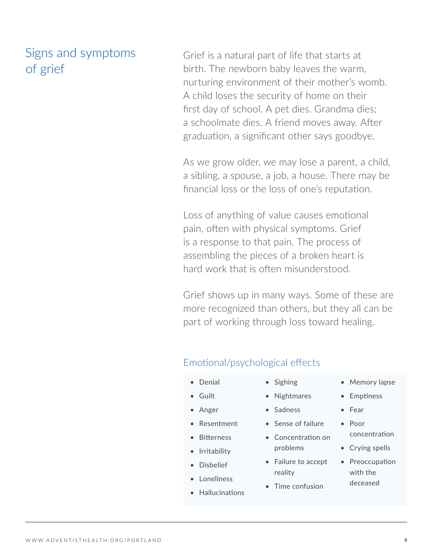## Signs and symptoms of grief

Grief is a natural part of life that starts at birth. The newborn baby leaves the warm, nurturing environment of their mother's womb. A child loses the security of home on their first day of school. A pet dies. Grandma dies; a schoolmate dies. A friend moves away. After graduation, a significant other says goodbye.

As we grow older, we may lose a parent, a child, a sibling, a spouse, a job, a house. There may be financial loss or the loss of one's reputation.

Loss of anything of value causes emotional pain, often with physical symptoms. Grief is a response to that pain. The process of assembling the pieces of a broken heart is hard work that is often misunderstood.

Grief shows up in many ways. Some of these are more recognized than others, but they all can be part of working through loss toward healing.

#### Emotional/psychological effects

- Denial
- Guilt
- Anger
- Resentment
- Bitterness
- Irritability
- Disbelief
- Loneliness
- Hallucinations
- Sighing
- Nightmares
- Sadness
- Sense of failure
- Concentration on problems
- Failure to accept reality
- Time confusion
- Memory lapse
- Emptiness
- Fear
- Poor concentration
- Crying spells
- Preoccupation with the deceased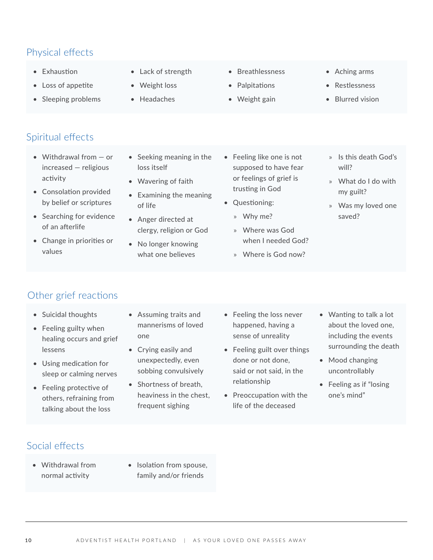### Physical effects

- Exhaustion
- Loss of appetite
- Sleeping problems
- Lack of strength
- Weight loss
- Headaches
- Breathlessness
- **Palpitations**
- Weight gain
- Aching arms
- Restlessness
- Blurred vision

- Spiritual effects
	- Withdrawal from or increased — religious activity
	- Consolation provided by belief or scriptures
	- Searching for evidence of an afterlife
	- Change in priorities or values
- Seeking meaning in the loss itself
- Wavering of faith
- Examining the meaning of life
- Anger directed at clergy, religion or God
- No longer knowing what one believes
- Feeling like one is not supposed to have fear or feelings of grief is trusting in God
- Questioning:
	- » Why me?
	- » Where was God when I needed God?
	- » Where is God now?
- » Is this death God's will?
- » What do I do with my guilt?
- » Was my loved one saved?

- Other grief reactions
	- Suicidal thoughts
	- Feeling guilty when healing occurs and grief lessens
	- Using medication for sleep or calming nerves
	- Feeling protective of others, refraining from talking about the loss
- Assuming traits and mannerisms of loved one
- Crying easily and unexpectedly, even sobbing convulsively
- Shortness of breath, heaviness in the chest, frequent sighing
- Feeling the loss never happened, having a sense of unreality
- Feeling guilt over things done or not done, said or not said, in the relationship
- Preoccupation with the life of the deceased
- Wanting to talk a lot about the loved one, including the events surrounding the death
- Mood changing uncontrollably
- Feeling as if "losing one's mind"

- Social effects
	- Withdrawal from normal activity
- Isolation from spouse, family and/or friends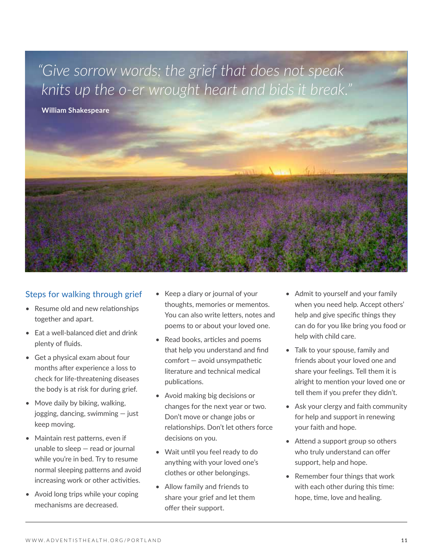*"Give sorrow words; the grief that does not speak knits up the o-er wrought heart and bids it break."*

**William Shakespeare**



#### Steps for walking through grief

- Resume old and new relationships together and apart.
- Eat a well-balanced diet and drink plenty of fluids.
- Get a physical exam about four months after experience a loss to check for life-threatening diseases the body is at risk for during grief.
- Move daily by biking, walking, jogging, dancing, swimming — just keep moving.
- Maintain rest patterns, even if unable to sleep — read or journal while you're in bed. Try to resume normal sleeping patterns and avoid increasing work or other activities.
- Avoid long trips while your coping mechanisms are decreased.
- Keep a diary or journal of your thoughts, memories or mementos. You can also write letters, notes and poems to or about your loved one.
- Read books, articles and poems that help you understand and find comfort — avoid unsympathetic literature and technical medical publications.
- Avoid making big decisions or changes for the next year or two. Don't move or change jobs or relationships. Don't let others force decisions on you.
- Wait until you feel ready to do anything with your loved one's clothes or other belongings.
- Allow family and friends to share your grief and let them offer their support.
- Admit to yourself and your family when you need help. Accept others' help and give specific things they can do for you like bring you food or help with child care.
- Talk to your spouse, family and friends about your loved one and share your feelings. Tell them it is alright to mention your loved one or tell them if you prefer they didn't.
- Ask your clergy and faith community for help and support in renewing your faith and hope.
- Attend a support group so others who truly understand can offer support, help and hope.
- Remember four things that work with each other during this time: hope, time, love and healing.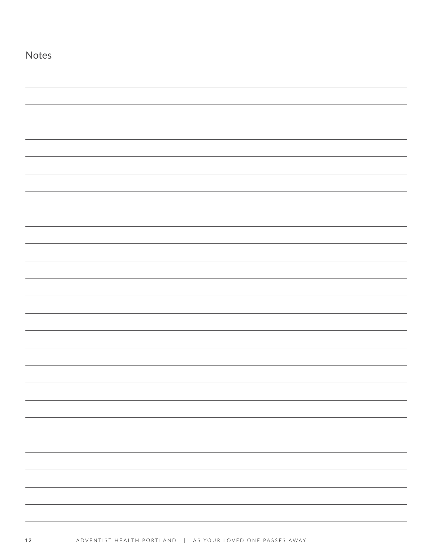| <b>Notes</b> |  |  |  |
|--------------|--|--|--|
|              |  |  |  |
|              |  |  |  |
|              |  |  |  |
|              |  |  |  |
|              |  |  |  |
|              |  |  |  |
|              |  |  |  |
|              |  |  |  |
|              |  |  |  |
|              |  |  |  |
|              |  |  |  |
|              |  |  |  |
|              |  |  |  |
|              |  |  |  |
|              |  |  |  |
|              |  |  |  |
|              |  |  |  |
|              |  |  |  |
|              |  |  |  |
|              |  |  |  |
|              |  |  |  |
|              |  |  |  |
|              |  |  |  |
|              |  |  |  |
|              |  |  |  |
|              |  |  |  |
|              |  |  |  |
|              |  |  |  |
|              |  |  |  |
|              |  |  |  |
|              |  |  |  |
|              |  |  |  |
|              |  |  |  |
|              |  |  |  |
|              |  |  |  |
|              |  |  |  |
|              |  |  |  |
|              |  |  |  |
|              |  |  |  |
|              |  |  |  |
|              |  |  |  |